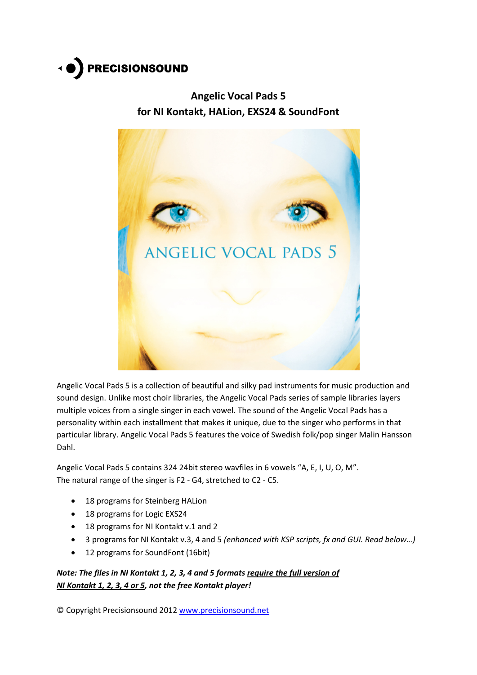

# **Angelic Vocal Pads 5 for NI Kontakt, HALion, EXS24 & SoundFont**



Angelic Vocal Pads 5 is a collection of beautiful and silky pad instruments for music production and sound design. Unlike most choir libraries, the Angelic Vocal Pads series of sample libraries layers multiple voices from a single singer in each vowel. The sound of the Angelic Vocal Pads has a personality within each installment that makes it unique, due to the singer who performs in that particular library. Angelic Vocal Pads 5 features the voice of Swedish folk/pop singer Malin Hansson Dahl.

Angelic Vocal Pads 5 contains 324 24bit stereo wavfiles in 6 vowels "A, E, I, U, O, M". The natural range of the singer is F2 - G4, stretched to C2 - C5.

- 18 programs for Steinberg HALion
- 18 programs for Logic EXS24
- 18 programs for NI Kontakt v.1 and 2
- 3 programs for NI Kontakt v.3, 4 and 5 *(enhanced with KSP scripts, fx and GUI. Read below…)*
- 12 programs for SoundFont (16bit)

*Note: The files in NI Kontakt 1, 2, 3, 4 and 5 formats require the full version of NI Kontakt 1, 2, 3, 4 or 5, not the free Kontakt player!*

© Copyright Precisionsound 2012 [www.precisionsound.net](http://www.precisionsound.net/)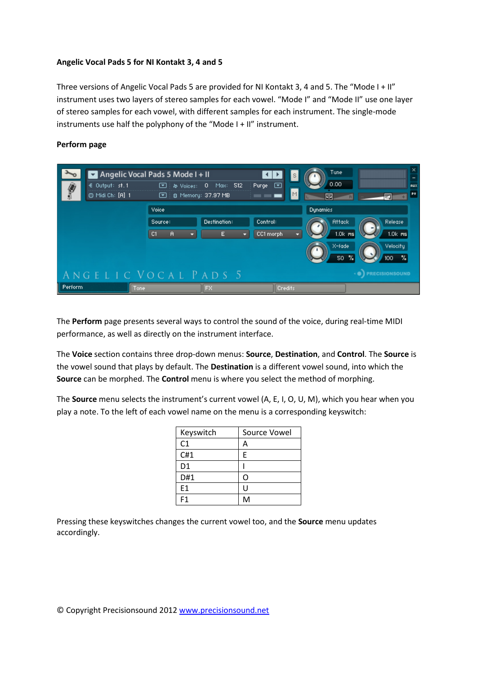## **Angelic Vocal Pads 5 for NI Kontakt 3, 4 and 5**

Three versions of Angelic Vocal Pads 5 are provided for NI Kontakt 3, 4 and 5. The "Mode I + II" instrument uses two layers of stereo samples for each vowel. "Mode I" and "Mode II" use one layer of stereo samples for each vowel, with different samples for each instrument. The single-mode instruments use half the polyphony of the "Mode I + II" instrument.



## **Perform page**

The **Perform** page presents several ways to control the sound of the voice, during real-time MIDI performance, as well as directly on the instrument interface.

The **Voice** section contains three drop-down menus: **Source**, **Destination**, and **Control**. The **Source** is the vowel sound that plays by default. The **Destination** is a different vowel sound, into which the **Source** can be morphed. The **Control** menu is where you select the method of morphing.

The **Source** menu selects the instrument's current vowel (A, E, I, O, U, M), which you hear when you play a note. To the left of each vowel name on the menu is a corresponding keyswitch:

| Keyswitch      | Source Vowel |
|----------------|--------------|
| C1             | А            |
| C#1            | E            |
| D <sub>1</sub> |              |
| D#1            | റ            |
| E1             | Ū            |
| F <sub>1</sub> | M            |

Pressing these keyswitches changes the current vowel too, and the **Source** menu updates accordingly.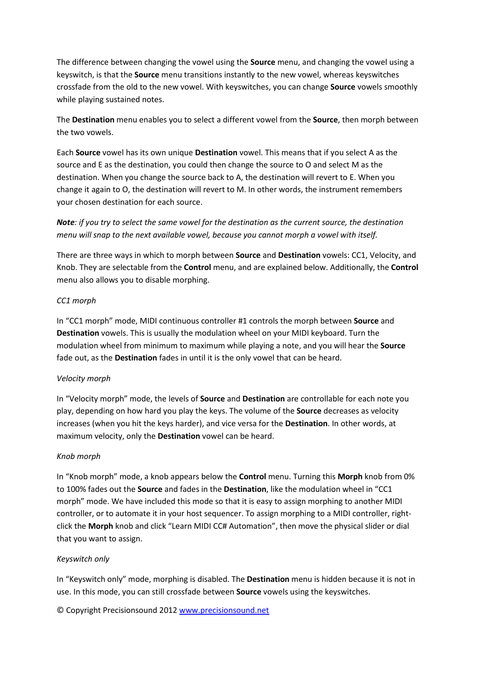The difference between changing the vowel using the **Source** menu, and changing the vowel using a keyswitch, is that the **Source** menu transitions instantly to the new vowel, whereas keyswitches crossfade from the old to the new vowel. With keyswitches, you can change **Source** vowels smoothly while playing sustained notes.

The **Destination** menu enables you to select a different vowel from the **Source**, then morph between the two vowels.

Each **Source** vowel has its own unique **Destination** vowel. This means that if you select A as the source and E as the destination, you could then change the source to O and select M as the destination. When you change the source back to A, the destination will revert to E. When you change it again to O, the destination will revert to M. In other words, the instrument remembers your chosen destination for each source.

## *Note: if you try to select the same vowel for the destination as the current source, the destination menu will snap to the next available vowel, because you cannot morph a vowel with itself.*

There are three ways in which to morph between **Source** and **Destination** vowels: CC1, Velocity, and Knob. They are selectable from the **Control** menu, and are explained below. Additionally, the **Control**  menu also allows you to disable morphing.

## *CC1 morph*

In "CC1 morph" mode, MIDI continuous controller #1 controls the morph between **Source** and **Destination** vowels. This is usually the modulation wheel on your MIDI keyboard. Turn the modulation wheel from minimum to maximum while playing a note, and you will hear the **Source**  fade out, as the **Destination** fades in until it is the only vowel that can be heard.

## *Velocity morph*

In "Velocity morph" mode, the levels of **Source** and **Destination** are controllable for each note you play, depending on how hard you play the keys. The volume of the **Source** decreases as velocity increases (when you hit the keys harder), and vice versa for the **Destination**. In other words, at maximum velocity, only the **Destination** vowel can be heard.

## *Knob morph*

In "Knob morph" mode, a knob appears below the **Control** menu. Turning this **Morph** knob from 0% to 100% fades out the **Source** and fades in the **Destination**, like the modulation wheel in "CC1 morph" mode. We have included this mode so that it is easy to assign morphing to another MIDI controller, or to automate it in your host sequencer. To assign morphing to a MIDI controller, rightclick the **Morph** knob and click "Learn MIDI CC# Automation", then move the physical slider or dial that you want to assign.

## *Keyswitch only*

In "Keyswitch only" mode, morphing is disabled. The **Destination** menu is hidden because it is not in use. In this mode, you can still crossfade between **Source** vowels using the keyswitches.

© Copyright Precisionsound 2012 [www.precisionsound.net](http://www.precisionsound.net/)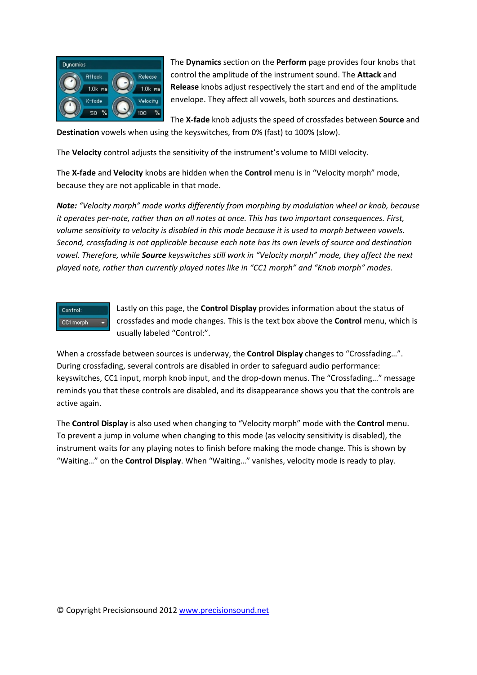

The **Dynamics** section on the **Perform** page provides four knobs that control the amplitude of the instrument sound. The **Attack** and **Release** knobs adjust respectively the start and end of the amplitude envelope. They affect all vowels, both sources and destinations.

The **X-fade** knob adjusts the speed of crossfades between **Source** and **Destination** vowels when using the keyswitches, from 0% (fast) to 100% (slow).

The **Velocity** control adjusts the sensitivity of the instrument's volume to MIDI velocity.

The **X-fade** and **Velocity** knobs are hidden when the **Control** menu is in "Velocity morph" mode, because they are not applicable in that mode.

*Note: "Velocity morph" mode works differently from morphing by modulation wheel or knob, because it operates per-note, rather than on all notes at once. This has two important consequences. First, volume sensitivity to velocity is disabled in this mode because it is used to morph between vowels. Second, crossfading is not applicable because each note has its own levels of source and destination vowel. Therefore, while Source keyswitches still work in "Velocity morph" mode, they affect the next played note, rather than currently played notes like in "CC1 morph" and "Knob morph" modes.*



Lastly on this page, the **Control Display** provides information about the status of crossfades and mode changes. This is the text box above the **Control** menu, which is usually labeled "Control:".

When a crossfade between sources is underway, the **Control Display** changes to "Crossfading…". During crossfading, several controls are disabled in order to safeguard audio performance: keyswitches, CC1 input, morph knob input, and the drop-down menus. The "Crossfading…" message reminds you that these controls are disabled, and its disappearance shows you that the controls are active again.

The **Control Display** is also used when changing to "Velocity morph" mode with the **Control** menu. To prevent a jump in volume when changing to this mode (as velocity sensitivity is disabled), the instrument waits for any playing notes to finish before making the mode change. This is shown by "Waiting…" on the **Control Display**. When "Waiting…" vanishes, velocity mode is ready to play.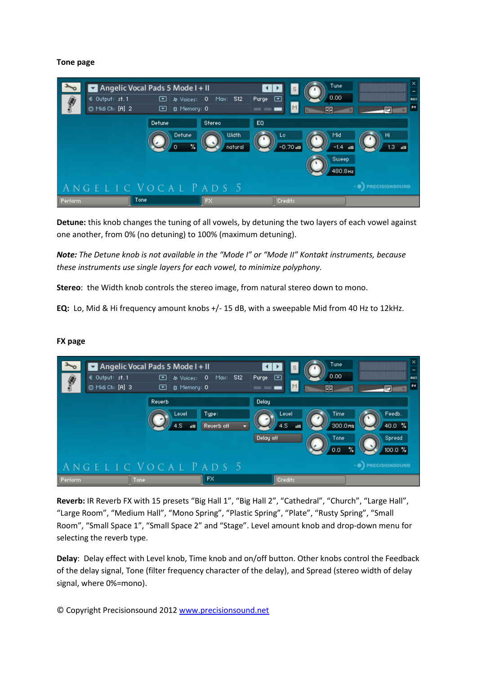#### **Tone page**



**Detune:** this knob changes the tuning of all vowels, by detuning the two layers of each vowel against one another, from 0% (no detuning) to 100% (maximum detuning).

*Note: The Detune knob is not available in the "Mode I" or "Mode II" Kontakt instruments, because these instruments use single layers for each vowel, to minimize polyphony.*

**Stereo**: the Width knob controls the stereo image, from natural stereo down to mono.

**EQ:** Lo, Mid & Hi frequency amount knobs +/- 15 dB, with a sweepable Mid from 40 Hz to 12kHz.

|          | Angelic Vocal Pads 5 Mode $I + II$ |                                    |                     |                                 | Tune              | ×                           |
|----------|------------------------------------|------------------------------------|---------------------|---------------------------------|-------------------|-----------------------------|
| ₩        | € Output: st.1<br>@ Midi Ch: [A] 3 | ☞<br>静 Voices:<br>B Memory: 0<br>⊡ | 512<br>0<br>Max:    | Purge $\Box$<br>M               | 0.00<br>Œ         | RUX<br>PV                   |
|          |                                    | Reverb                             |                     | Delay                           |                   |                             |
|          |                                    | Leuel<br>4.5<br>$\overline{AB}$    | Type:<br>Reverb off | Leuel<br>4.5<br>$\overline{AB}$ | Time<br>300.0ms   | Feedb.<br>$40.0$ %          |
|          |                                    |                                    |                     | Delay off                       | Tone<br>%.<br>0.0 | Spread<br>$100.0 \text{ %}$ |
|          | ANGELIC VOCAL PADS 5               |                                    |                     |                                 |                   | <b>PRECISIONSOUND</b>       |
| Perform, | Tone                               |                                    | FX                  | <b>Credits</b>                  |                   |                             |

#### **FX page**

**Reverb:** IR Reverb FX with 15 presets "Big Hall 1", "Big Hall 2", "Cathedral", "Church", "Large Hall", "Large Room", "Medium Hall", "Mono Spring", "Plastic Spring", "Plate", "Rusty Spring", "Small Room", "Small Space 1", "Small Space 2" and "Stage". Level amount knob and drop-down menu for selecting the reverb type.

**Delay**: Delay effect with Level knob, Time knob and on/off button. Other knobs control the Feedback of the delay signal, Tone (filter frequency character of the delay), and Spread (stereo width of delay signal, where 0%=mono).

© Copyright Precisionsound 2012 [www.precisionsound.net](http://www.precisionsound.net/)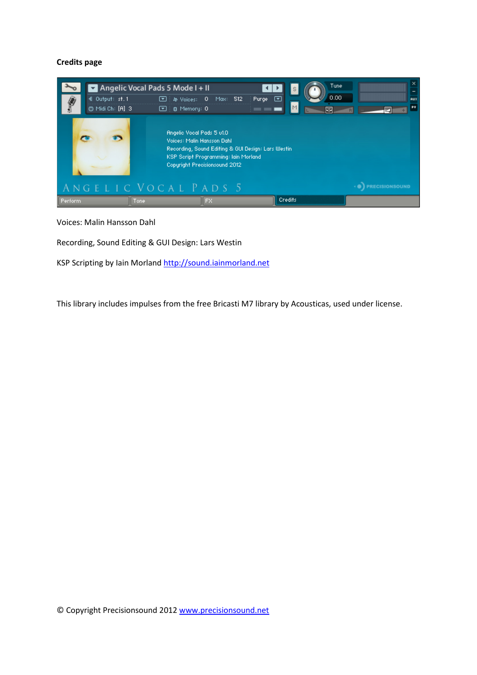## **Credits page**



Voices: Malin Hansson Dahl

Recording, Sound Editing & GUI Design: Lars Westin

KSP Scripting by Iain Morland [http://sound.iainmorland.net](http://sound.iainmorland.net/)

This library includes impulses from the free Bricasti M7 library by Acousticas, used under license.